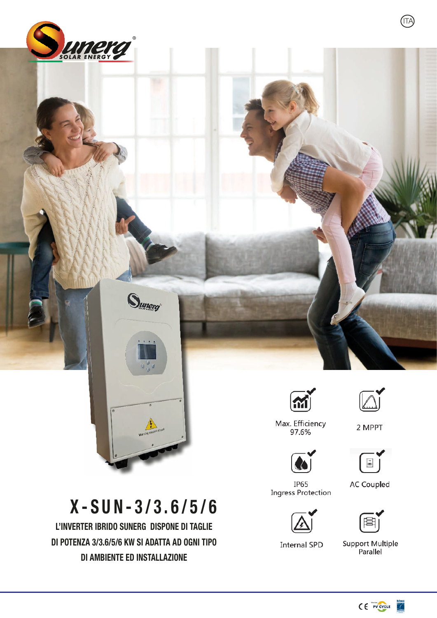



## ЮH



2 MPPT

Max. Efficiency<br>97.6%





**IP65** Ingress Protection



**Internal SPD** 

**AC Coupled** 

Support Multiple<br>Parallel

## X-SUN-3/3.6/5/6

L'inverter ibrido Sunerg dispone di taglie di potenza 3/3.6/5/6 KW si adatta ad ogni tipo di ambiente ed installazione